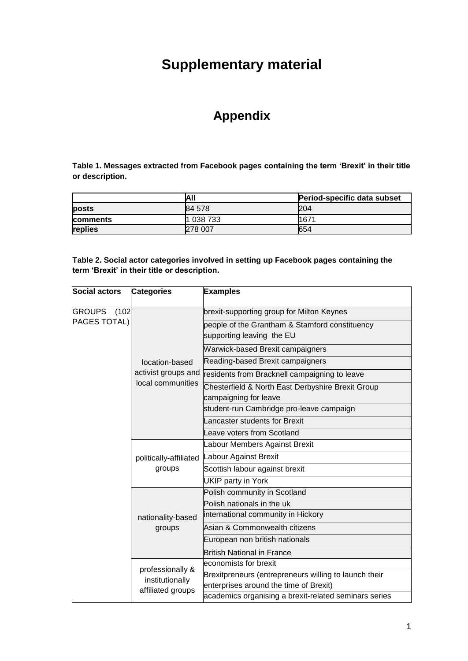# **Supplementary material**

## **Appendix**

**Table 1. Messages extracted from Facebook pages containing the term 'Brexit' in their title or description.** 

|                 | All       | Period-specific data subset |
|-----------------|-----------|-----------------------------|
| posts           | 84 578    | <b>204</b>                  |
| <b>comments</b> | 1 038 733 | 1671                        |
| replies         | 278 007   | 654                         |

**Table 2. Social actor categories involved in setting up Facebook pages containing the term 'Brexit' in their title or description.**

| <b>Social actors</b>   | <b>Categories</b>                | <b>Examples</b>                                                             |
|------------------------|----------------------------------|-----------------------------------------------------------------------------|
| <b>GROUPS</b><br>(102) |                                  | brexit-supporting group for Milton Keynes                                   |
| PAGES TOTAL)           |                                  | people of the Grantham & Stamford constituency<br>supporting leaving the EU |
|                        |                                  | <b>Warwick-based Brexit campaigners</b>                                     |
|                        | location-based                   | Reading-based Brexit campaigners                                            |
|                        | activist groups and              | residents from Bracknell campaigning to leave                               |
|                        | local communities                | Chesterfield & North East Derbyshire Brexit Group<br>campaigning for leave  |
|                        |                                  | student-run Cambridge pro-leave campaign                                    |
|                        |                                  | Lancaster students for Brexit                                               |
|                        |                                  | Leave voters from Scotland                                                  |
|                        | politically-affiliated<br>groups | Labour Members Against Brexit                                               |
|                        |                                  | Labour Against Brexit                                                       |
|                        |                                  | Scottish labour against brexit                                              |
|                        |                                  | <b>UKIP</b> party in York                                                   |
|                        |                                  | Polish community in Scotland                                                |
|                        | nationality-based<br>groups      | Polish nationals in the uk                                                  |
|                        |                                  | international community in Hickory                                          |
|                        |                                  | Asian & Commonwealth citizens                                               |
|                        |                                  | European non british nationals                                              |
|                        |                                  | <b>British National in France</b>                                           |
|                        | professionally &                 | economists for brexit                                                       |
|                        | institutionally                  | Brexitpreneurs (entrepreneurs willing to launch their                       |
|                        | affiliated groups                | enterprises around the time of Brexit)                                      |
|                        |                                  | academics organising a brexit-related seminars series                       |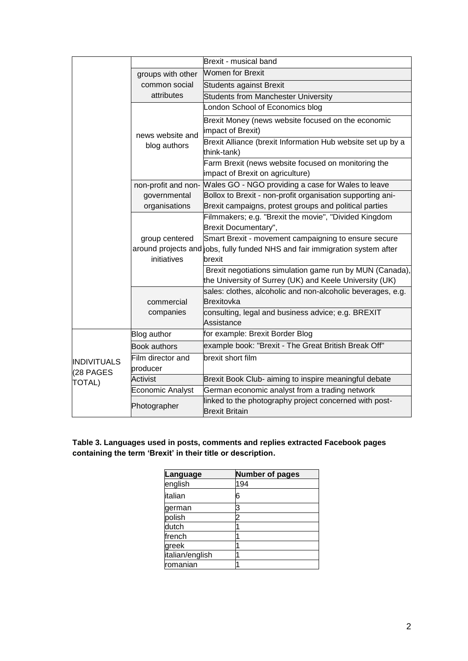|                                           |                               | Brexit - musical band                                                                                                                          |
|-------------------------------------------|-------------------------------|------------------------------------------------------------------------------------------------------------------------------------------------|
|                                           | groups with other             | <b>Women for Brexit</b>                                                                                                                        |
|                                           | common social                 | <b>Students against Brexit</b>                                                                                                                 |
|                                           | attributes                    | Students from Manchester University                                                                                                            |
|                                           |                               | London School of Economics blog                                                                                                                |
|                                           | news website and              | Brexit Money (news website focused on the economic<br>impact of Brexit)                                                                        |
|                                           | blog authors                  | Brexit Alliance (brexit Information Hub website set up by a<br>think-tank)                                                                     |
|                                           |                               | Farm Brexit (news website focused on monitoring the<br>impact of Brexit on agriculture)                                                        |
|                                           | non-profit and non-           | Wales GO - NGO providing a case for Wales to leave                                                                                             |
|                                           | governmental                  | Bollox to Brexit - non-profit organisation supporting ani-                                                                                     |
|                                           | organisations                 | Brexit campaigns, protest groups and political parties                                                                                         |
|                                           |                               | Filmmakers; e.g. "Brexit the movie", "Divided Kingdom<br>Brexit Documentary",                                                                  |
|                                           | group centered<br>initiatives | Smart Brexit - movement campaigning to ensure secure<br>around projects and jobs, fully funded NHS and fair immigration system after<br>brexit |
|                                           |                               | Brexit negotiations simulation game run by MUN (Canada),<br>the University of Surrey (UK) and Keele University (UK)                            |
|                                           | commercial                    | sales: clothes, alcoholic and non-alcoholic beverages, e.g.<br><b>Brexitovka</b>                                                               |
|                                           | companies                     | consulting, legal and business advice; e.g. BREXIT<br>Assistance                                                                               |
|                                           | Blog author                   | for example: Brexit Border Blog                                                                                                                |
|                                           | <b>Book authors</b>           | example book: "Brexit - The Great British Break Off"                                                                                           |
| <b>INDIVITUALS</b><br>(28 PAGES<br>TOTAL) | Film director and<br>producer | brexit short film                                                                                                                              |
|                                           | Activist                      | Brexit Book Club- aiming to inspire meaningful debate                                                                                          |
|                                           | Economic Analyst              | German economic analyst from a trading network                                                                                                 |
|                                           | Photographer                  | linked to the photography project concerned with post-<br><b>Brexit Britain</b>                                                                |

**Table 3. Languages used in posts, comments and replies extracted Facebook pages containing the term 'Brexit' in their title or description.**

| Language        | <b>Number of pages</b> |
|-----------------|------------------------|
| english         | 194                    |
| italian         | 6                      |
| german          | 3                      |
| polish          |                        |
| dutch           |                        |
| french          |                        |
| greek           |                        |
| italian/english |                        |
| romanian        |                        |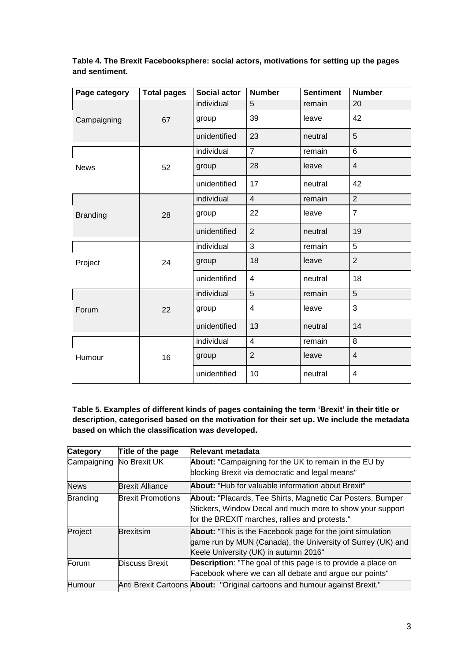| Table 4. The Brexit Facebooksphere: social actors, motivations for setting up the pages |  |
|-----------------------------------------------------------------------------------------|--|
| and sentiment.                                                                          |  |

| Page category   | <b>Total pages</b> | <b>Social actor</b> | <b>Number</b>           | <b>Sentiment</b> | <b>Number</b>  |
|-----------------|--------------------|---------------------|-------------------------|------------------|----------------|
| Campaigning     |                    | individual          | 5                       | remain           | 20             |
|                 | 67                 | group               | 39                      | leave            | 42             |
|                 |                    | unidentified        | 23                      | neutral          | 5              |
|                 |                    | individual          | $\overline{7}$          | remain           | $6\phantom{1}$ |
| <b>News</b>     | 52                 | group               | 28                      | leave            | $\overline{4}$ |
|                 |                    | unidentified        | 17                      | neutral          | 42             |
|                 |                    | individual          | $\overline{4}$          | remain           | 2              |
| <b>Branding</b> | 28                 | group               | 22                      | leave            | $\overline{7}$ |
|                 |                    | unidentified        | $\overline{2}$          | neutral          | 19             |
| Project         | 24                 | individual          | 3                       | remain           | 5              |
|                 |                    | group               | 18                      | leave            | $\overline{2}$ |
|                 |                    | unidentified        | $\overline{4}$          | neutral          | 18             |
| Forum           | 22                 | individual          | 5                       | remain           | 5              |
|                 |                    | group               | 4                       | leave            | 3              |
|                 |                    | unidentified        | 13                      | neutral          | 14             |
| Humour          |                    | individual          | $\overline{\mathbf{4}}$ | remain           | $\, 8$         |
|                 | 16                 | group               | $\overline{2}$          | leave            | $\overline{4}$ |
|                 |                    | unidentified        | 10                      | neutral          | 4              |

**Table 5. Examples of different kinds of pages containing the term 'Brexit' in their title or description, categorised based on the motivation for their set up. We include the metadata based on which the classification was developed.**

| Category        | Title of the page        | <b>Relevant metadata</b>                                                          |
|-----------------|--------------------------|-----------------------------------------------------------------------------------|
| Campaigning     | No Brexit UK             | About: "Campaigning for the UK to remain in the EU by                             |
|                 |                          | blocking Brexit via democratic and legal means"                                   |
| <b>News</b>     | <b>Brexit Alliance</b>   | <b>About:</b> "Hub for valuable information about Brexit"                         |
| <b>Branding</b> | <b>Brexit Promotions</b> | About: "Placards, Tee Shirts, Magnetic Car Posters, Bumper                        |
|                 |                          | Stickers, Window Decal and much more to show your support                         |
|                 |                          | for the BREXIT marches, rallies and protests."                                    |
| Project         | <b>Brexitsim</b>         | About: "This is the Facebook page for the joint simulation                        |
|                 |                          | game run by MUN (Canada), the University of Surrey (UK) and                       |
|                 |                          | Keele University (UK) in autumn 2016"                                             |
| Forum           | <b>Discuss Brexit</b>    | <b>Description:</b> "The goal of this page is to provide a place on               |
|                 |                          | Facebook where we can all debate and argue our points"                            |
| Humour          |                          | Anti Brexit Cartoons <b>About:</b> "Original cartoons and humour against Brexit." |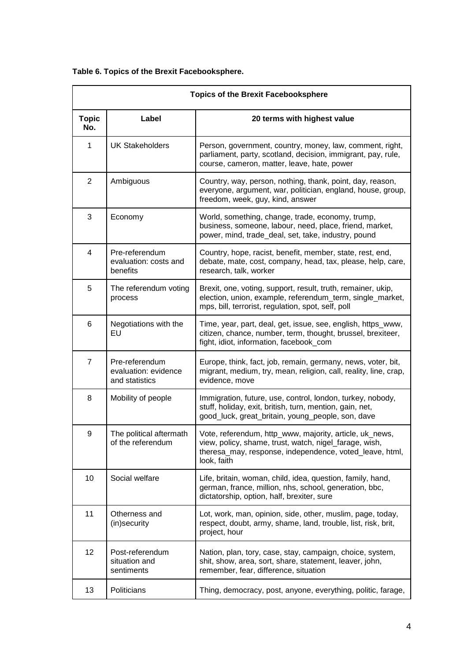|                     |                                                          | <b>Topics of the Brexit Facebooksphere</b>                                                                                                                                                 |
|---------------------|----------------------------------------------------------|--------------------------------------------------------------------------------------------------------------------------------------------------------------------------------------------|
| <b>Topic</b><br>No. | Label                                                    | 20 terms with highest value                                                                                                                                                                |
| $\mathbf{1}$        | <b>UK Stakeholders</b>                                   | Person, government, country, money, law, comment, right,<br>parliament, party, scotland, decision, immigrant, pay, rule,<br>course, cameron, matter, leave, hate, power                    |
| $\overline{2}$      | Ambiguous                                                | Country, way, person, nothing, thank, point, day, reason,<br>everyone, argument, war, politician, england, house, group,<br>freedom, week, guy, kind, answer                               |
| 3                   | Economy                                                  | World, something, change, trade, economy, trump,<br>business, someone, labour, need, place, friend, market,<br>power, mind, trade_deal, set, take, industry, pound                         |
| $\overline{4}$      | Pre-referendum<br>evaluation: costs and<br>benefits      | Country, hope, racist, benefit, member, state, rest, end,<br>debate, mate, cost, company, head, tax, please, help, care,<br>research, talk, worker                                         |
| 5                   | The referendum voting<br>process                         | Brexit, one, voting, support, result, truth, remainer, ukip,<br>election, union, example, referendum_term, single_market,<br>mps, bill, terrorist, regulation, spot, self, poll            |
| 6                   | Negotiations with the<br>EU                              | Time, year, part, deal, get, issue, see, english, https_www,<br>citizen, chance, number, term, thought, brussel, brexiteer,<br>fight, idiot, information, facebook_com                     |
| $\overline{7}$      | Pre-referendum<br>evaluation: evidence<br>and statistics | Europe, think, fact, job, remain, germany, news, voter, bit,<br>migrant, medium, try, mean, religion, call, reality, line, crap,<br>evidence, move                                         |
| 8                   | Mobility of people                                       | Immigration, future, use, control, london, turkey, nobody,<br>stuff, holiday, exit, british, turn, mention, gain, net,<br>good_luck, great_britain, young_people, son, dave                |
| 9                   | The political aftermath<br>of the referendum             | Vote, referendum, http_www, majority, article, uk_news<br>view, policy, shame, trust, watch, nigel_farage, wish,<br>theresa_may, response, independence, voted_leave, html,<br>look, faith |
| 10                  | Social welfare                                           | Life, britain, woman, child, idea, question, family, hand,<br>german, france, million, nhs, school, generation, bbc,<br>dictatorship, option, half, brexiter, sure                         |
| 11                  | Otherness and<br>(in)security                            | Lot, work, man, opinion, side, other, muslim, page, today,<br>respect, doubt, army, shame, land, trouble, list, risk, brit,<br>project, hour                                               |
| 12                  | Post-referendum<br>situation and<br>sentiments           | Nation, plan, tory, case, stay, campaign, choice, system,<br>shit, show, area, sort, share, statement, leaver, john,<br>remember, fear, difference, situation                              |
| 13                  | Politicians                                              | Thing, democracy, post, anyone, everything, politic, farage,                                                                                                                               |

|  |  |  |  |  | Table 6. Topics of the Brexit Facebooksphere. |  |
|--|--|--|--|--|-----------------------------------------------|--|
|--|--|--|--|--|-----------------------------------------------|--|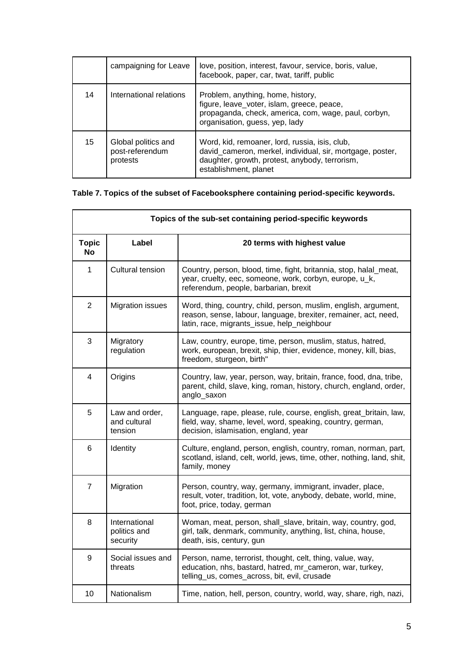|    | campaigning for Leave                              | love, position, interest, favour, service, boris, value,<br>facebook, paper, car, twat, tariff, public                                                                                 |
|----|----------------------------------------------------|----------------------------------------------------------------------------------------------------------------------------------------------------------------------------------------|
| 14 | International relations                            | Problem, anything, home, history,<br>figure, leave_voter, islam, greece, peace,<br>propaganda, check, america, com, wage, paul, corbyn,<br>organisation, guess, yep, lady              |
| 15 | Global politics and<br>post-referendum<br>protests | Word, kid, remoaner, lord, russia, isis, club,<br>david_cameron, merkel, individual, sir, mortgage, poster,<br>daughter, growth, protest, anybody, terrorism,<br>establishment, planet |

## **Table 7. Topics of the subset of Facebooksphere containing period-specific keywords.**

|                           | Topics of the sub-set containing period-specific keywords |                                                                                                                                                                                   |  |
|---------------------------|-----------------------------------------------------------|-----------------------------------------------------------------------------------------------------------------------------------------------------------------------------------|--|
| <b>Topic</b><br><b>No</b> | Label                                                     | 20 terms with highest value                                                                                                                                                       |  |
| 1                         | Cultural tension                                          | Country, person, blood, time, fight, britannia, stop, halal_meat,<br>year, cruelty, eec, someone, work, corbyn, europe, u_k,<br>referendum, people, barbarian, brexit             |  |
| $\overline{2}$            | <b>Migration issues</b>                                   | Word, thing, country, child, person, muslim, english, argument,<br>reason, sense, labour, language, brexiter, remainer, act, need,<br>latin, race, migrants_issue, help_neighbour |  |
| 3                         | Migratory<br>regulation                                   | Law, country, europe, time, person, muslim, status, hatred,<br>work, european, brexit, ship, thier, evidence, money, kill, bias,<br>freedom, sturgeon, birth"                     |  |
| 4                         | Origins                                                   | Country, law, year, person, way, britain, france, food, dna, tribe,<br>parent, child, slave, king, roman, history, church, england, order,<br>anglo_saxon                         |  |
| 5                         | Law and order,<br>and cultural<br>tension                 | Language, rape, please, rule, course, english, great_britain, law,<br>field, way, shame, level, word, speaking, country, german,<br>decision, islamisation, england, year         |  |
| 6                         | Identity                                                  | Culture, england, person, english, country, roman, norman, part,<br>scotland, island, celt, world, jews, time, other, nothing, land, shit,<br>family, money                       |  |
| $\overline{7}$            | Migration                                                 | Person, country, way, germany, immigrant, invader, place,<br>result, voter, tradition, lot, vote, anybody, debate, world, mine,<br>foot, price, today, german                     |  |
| 8                         | International<br>politics and<br>security                 | Woman, meat, person, shall_slave, britain, way, country, god,<br>girl, talk, denmark, community, anything, list, china, house,<br>death, isis, century, gun                       |  |
| 9                         | Social issues and<br>threats                              | Person, name, terrorist, thought, celt, thing, value, way,<br>education, nhs, bastard, hatred, mr_cameron, war, turkey,<br>telling_us, comes_across, bit, evil, crusade           |  |
| 10                        | Nationalism                                               | Time, nation, hell, person, country, world, way, share, righ, nazi,                                                                                                               |  |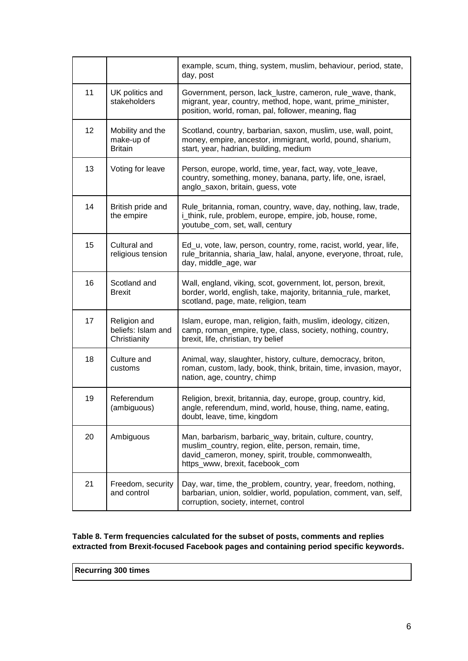|    |                                                    | example, scum, thing, system, muslim, behaviour, period, state,<br>day, post                                                                                                                                |
|----|----------------------------------------------------|-------------------------------------------------------------------------------------------------------------------------------------------------------------------------------------------------------------|
| 11 | UK politics and<br>stakeholders                    | Government, person, lack_lustre, cameron, rule_wave, thank,<br>migrant, year, country, method, hope, want, prime_minister,<br>position, world, roman, pal, follower, meaning, flag                          |
| 12 | Mobility and the<br>make-up of<br><b>Britain</b>   | Scotland, country, barbarian, saxon, muslim, use, wall, point,<br>money, empire, ancestor, immigrant, world, pound, sharium,<br>start, year, hadrian, building, medium                                      |
| 13 | Voting for leave                                   | Person, europe, world, time, year, fact, way, vote_leave,<br>country, something, money, banana, party, life, one, israel,<br>anglo_saxon, britain, guess, vote                                              |
| 14 | British pride and<br>the empire                    | Rule_britannia, roman, country, wave, day, nothing, law, trade,<br>i_think, rule, problem, europe, empire, job, house, rome,<br>youtube_com, set, wall, century                                             |
| 15 | Cultural and<br>religious tension                  | Ed_u, vote, law, person, country, rome, racist, world, year, life,<br>rule_britannia, sharia_law, halal, anyone, everyone, throat, rule,<br>day, middle_age, war                                            |
| 16 | Scotland and<br><b>Brexit</b>                      | Wall, england, viking, scot, government, lot, person, brexit,<br>border, world, english, take, majority, britannia_rule, market,<br>scotland, page, mate, religion, team                                    |
| 17 | Religion and<br>beliefs: Islam and<br>Christianity | Islam, europe, man, religion, faith, muslim, ideology, citizen,<br>camp, roman_empire, type, class, society, nothing, country,<br>brexit, life, christian, try belief                                       |
| 18 | Culture and<br>customs                             | Animal, way, slaughter, history, culture, democracy, briton,<br>roman, custom, lady, book, think, britain, time, invasion, mayor,<br>nation, age, country, chimp                                            |
| 19 | Referendum<br>(ambiguous)                          | Religion, brexit, britannia, day, europe, group, country, kid,<br>angle, referendum, mind, world, house, thing, name, eating,<br>doubt, leave, time, kingdom                                                |
| 20 | Ambiguous                                          | Man, barbarism, barbaric_way, britain, culture, country,<br>muslim_country, region, elite, person, remain, time,<br>david_cameron, money, spirit, trouble, commonwealth,<br>https_www, brexit, facebook_com |
| 21 | Freedom, security<br>and control                   | Day, war, time, the_problem, country, year, freedom, nothing,<br>barbarian, union, soldier, world, population, comment, van, self,<br>corruption, society, internet, control                                |

### **Table 8. Term frequencies calculated for the subset of posts, comments and replies extracted from Brexit-focused Facebook pages and containing period specific keywords.**

**Recurring 300 times**